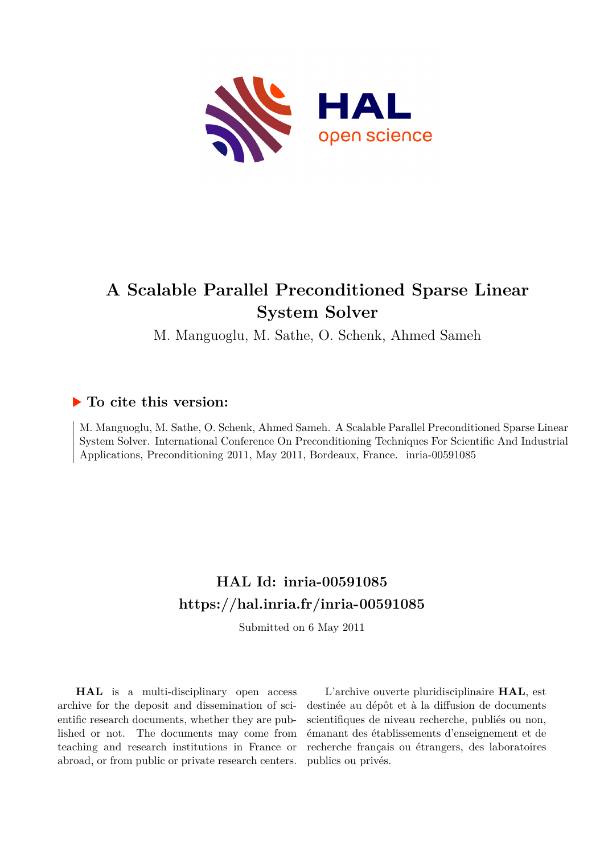

## **A Scalable Parallel Preconditioned Sparse Linear System Solver**

M. Manguoglu, M. Sathe, O. Schenk, Ahmed Sameh

## **To cite this version:**

M. Manguoglu, M. Sathe, O. Schenk, Ahmed Sameh. A Scalable Parallel Preconditioned Sparse Linear System Solver. International Conference On Preconditioning Techniques For Scientific And Industrial Applications, Preconditioning 2011, May 2011, Bordeaux, France. inria-00591085

## **HAL Id: inria-00591085 <https://hal.inria.fr/inria-00591085>**

Submitted on 6 May 2011

**HAL** is a multi-disciplinary open access archive for the deposit and dissemination of scientific research documents, whether they are published or not. The documents may come from teaching and research institutions in France or abroad, or from public or private research centers.

L'archive ouverte pluridisciplinaire **HAL**, est destinée au dépôt et à la diffusion de documents scientifiques de niveau recherche, publiés ou non, émanant des établissements d'enseignement et de recherche français ou étrangers, des laboratoires publics ou privés.